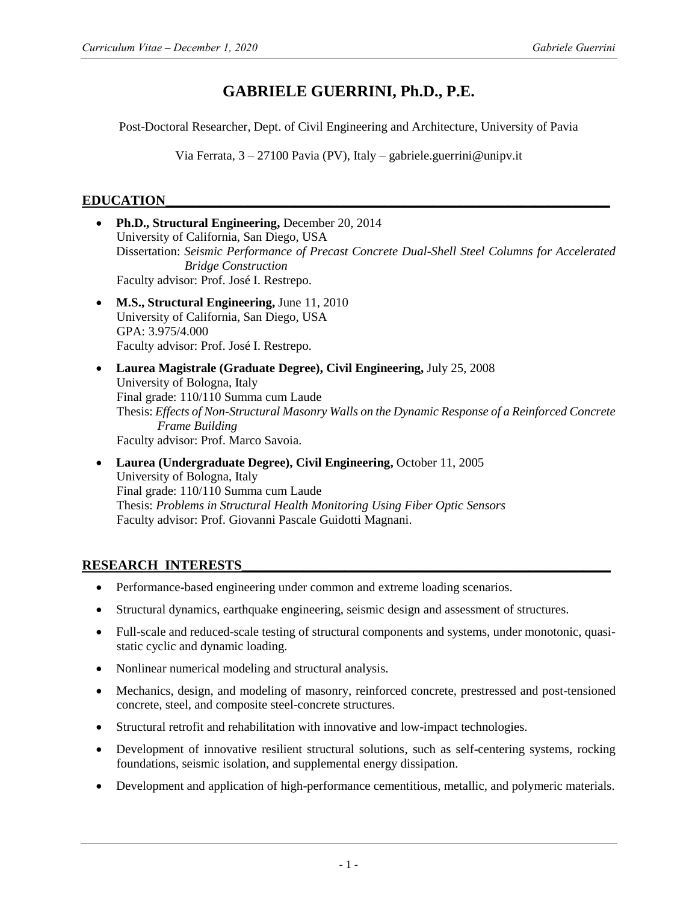# **GABRIELE GUERRINI, Ph.D., P.E.**

Post-Doctoral Researcher, Dept. of Civil Engineering and Architecture, University of Pavia

Via Ferrata, 3 – 27100 Pavia (PV), Italy – gabriele.guerrini@unipv.it

# **EDUCATION\_\_\_\_\_\_\_\_\_\_\_\_\_\_\_\_\_\_\_\_\_\_\_\_\_\_\_\_\_\_\_\_\_\_\_\_\_\_\_\_\_\_\_\_\_\_\_\_\_\_\_\_\_\_\_\_\_\_\_\_\_\_\_\_\_**

- **Ph.D., Structural Engineering,** December 20, 2014 University of California, San Diego, USA Dissertation: *Seismic Performance of Precast Concrete Dual-Shell Steel Columns for Accelerated Bridge Construction* Faculty advisor: Prof. José I. Restrepo.
- **M.S., Structural Engineering,** June 11, 2010 University of California, San Diego, USA GPA: 3.975/4.000 Faculty advisor: Prof. José I. Restrepo.
- **Laurea Magistrale (Graduate Degree), Civil Engineering,** July 25, 2008 University of Bologna, Italy Final grade: 110/110 Summa cum Laude Thesis: *Effects of Non-Structural Masonry Walls on the Dynamic Response of a Reinforced Concrete Frame Building* Faculty advisor: Prof. Marco Savoia.
- **Laurea (Undergraduate Degree), Civil Engineering,** October 11, 2005 University of Bologna, Italy Final grade: 110/110 Summa cum Laude Thesis: *Problems in Structural Health Monitoring Using Fiber Optic Sensors* Faculty advisor: Prof. Giovanni Pascale Guidotti Magnani.

# RESEARCH INTERESTS

- Performance-based engineering under common and extreme loading scenarios.
- Structural dynamics, earthquake engineering, seismic design and assessment of structures.
- Full-scale and reduced-scale testing of structural components and systems, under monotonic, quasistatic cyclic and dynamic loading.
- Nonlinear numerical modeling and structural analysis.
- Mechanics, design, and modeling of masonry, reinforced concrete, prestressed and post-tensioned concrete, steel, and composite steel-concrete structures.
- Structural retrofit and rehabilitation with innovative and low-impact technologies.
- Development of innovative resilient structural solutions, such as self-centering systems, rocking foundations, seismic isolation, and supplemental energy dissipation.
- Development and application of high-performance cementitious, metallic, and polymeric materials.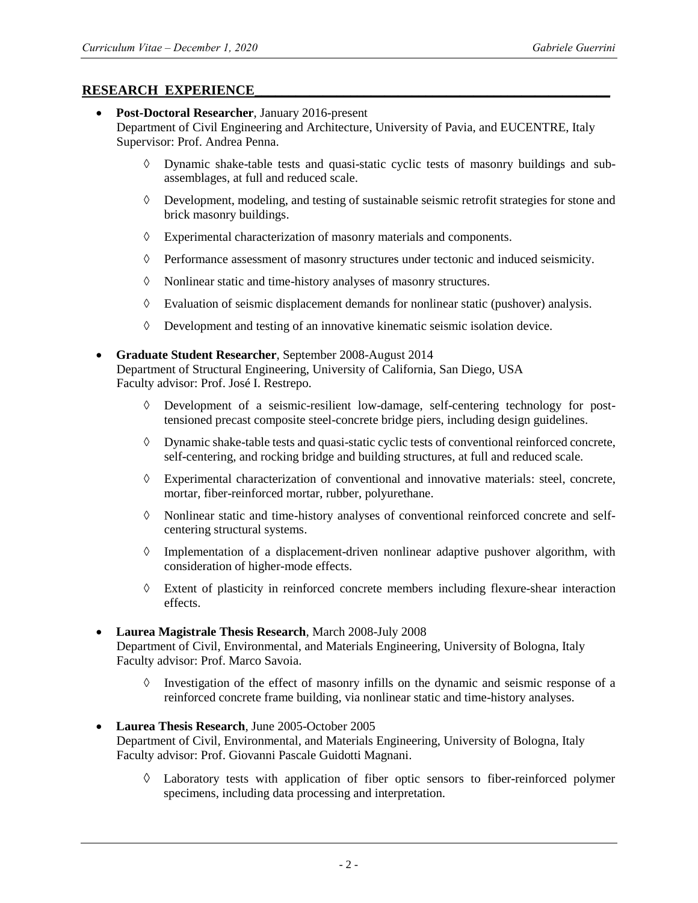### **RESEARCH EXPERIENCE**

- **Post-Doctoral Researcher**, January 2016-present Department of Civil Engineering and Architecture, University of Pavia, and EUCENTRE, Italy Supervisor: Prof. Andrea Penna.
	- $\Diamond$  Dynamic shake-table tests and quasi-static cyclic tests of masonry buildings and subassemblages, at full and reduced scale.
	- Development, modeling, and testing of sustainable seismic retrofit strategies for stone and brick masonry buildings.
	- Experimental characterization of masonry materials and components.
	- $\Diamond$  Performance assessment of masonry structures under tectonic and induced seismicity.
	- Nonlinear static and time-history analyses of masonry structures.
	- $\Diamond$  Evaluation of seismic displacement demands for nonlinear static (pushover) analysis.
	- Development and testing of an innovative kinematic seismic isolation device.
- **Graduate Student Researcher**, September 2008-August 2014 Department of Structural Engineering, University of California, San Diego, USA Faculty advisor: Prof. José I. Restrepo.
	- $\Diamond$  Development of a seismic-resilient low-damage, self-centering technology for posttensioned precast composite steel-concrete bridge piers, including design guidelines.
	- Dynamic shake-table tests and quasi-static cyclic tests of conventional reinforced concrete, self-centering, and rocking bridge and building structures, at full and reduced scale.
	- Experimental characterization of conventional and innovative materials: steel, concrete, mortar, fiber-reinforced mortar, rubber, polyurethane.
	- Nonlinear static and time-history analyses of conventional reinforced concrete and selfcentering structural systems.
	- $\Diamond$  Implementation of a displacement-driven nonlinear adaptive pushover algorithm, with consideration of higher-mode effects.
	- $\Diamond$  Extent of plasticity in reinforced concrete members including flexure-shear interaction effects.
- **Laurea Magistrale Thesis Research**, March 2008-July 2008 Department of Civil, Environmental, and Materials Engineering, University of Bologna, Italy Faculty advisor: Prof. Marco Savoia.
	- $\Diamond$  Investigation of the effect of masonry infills on the dynamic and seismic response of a reinforced concrete frame building, via nonlinear static and time-history analyses.
- **Laurea Thesis Research**, June 2005-October 2005 Department of Civil, Environmental, and Materials Engineering, University of Bologna, Italy Faculty advisor: Prof. Giovanni Pascale Guidotti Magnani.
	- $\Diamond$  Laboratory tests with application of fiber optic sensors to fiber-reinforced polymer specimens, including data processing and interpretation.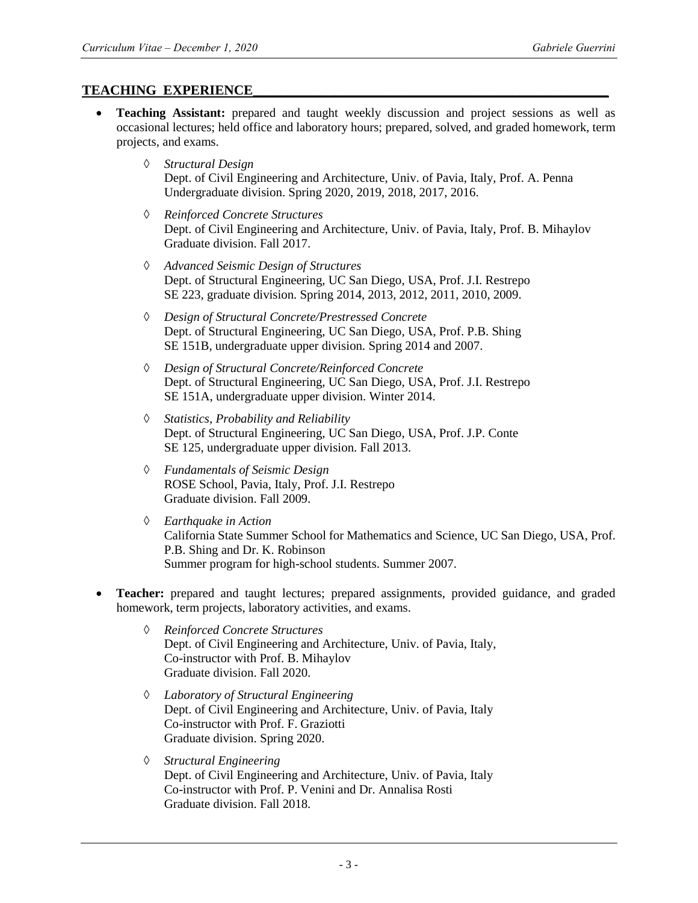## **TEACHING EXPERIENCE\_\_\_\_\_\_\_\_\_\_\_\_\_\_\_\_\_\_\_\_\_\_\_\_\_\_\_\_\_\_\_\_\_\_\_\_\_\_\_\_\_\_\_\_\_\_\_\_\_\_\_\_**

- **Teaching Assistant:** prepared and taught weekly discussion and project sessions as well as occasional lectures; held office and laboratory hours; prepared, solved, and graded homework, term projects, and exams.
	- *Structural Design* Dept. of Civil Engineering and Architecture, Univ. of Pavia, Italy, Prof. A. Penna Undergraduate division. Spring 2020, 2019, 2018, 2017, 2016.
	- *Reinforced Concrete Structures* Dept. of Civil Engineering and Architecture, Univ. of Pavia, Italy, Prof. B. Mihaylov Graduate division. Fall 2017.
	- *Advanced Seismic Design of Structures* Dept. of Structural Engineering, UC San Diego, USA, Prof. J.I. Restrepo SE 223, graduate division. Spring 2014, 2013, 2012, 2011, 2010, 2009.
	- *Design of Structural Concrete/Prestressed Concrete* Dept. of Structural Engineering, UC San Diego, USA, Prof. P.B. Shing SE 151B, undergraduate upper division. Spring 2014 and 2007.
	- *Design of Structural Concrete/Reinforced Concrete* Dept. of Structural Engineering, UC San Diego, USA, Prof. J.I. Restrepo SE 151A, undergraduate upper division. Winter 2014.
	- *Statistics, Probability and Reliability* Dept. of Structural Engineering, UC San Diego, USA, Prof. J.P. Conte SE 125, undergraduate upper division. Fall 2013.
	- *Fundamentals of Seismic Design* ROSE School, Pavia, Italy, Prof. J.I. Restrepo Graduate division. Fall 2009.
	- *Earthquake in Action* California State Summer School for Mathematics and Science, UC San Diego, USA, Prof. P.B. Shing and Dr. K. Robinson Summer program for high-school students. Summer 2007.
- **Teacher:** prepared and taught lectures; prepared assignments, provided guidance, and graded homework, term projects, laboratory activities, and exams.
	- *Reinforced Concrete Structures* Dept. of Civil Engineering and Architecture, Univ. of Pavia, Italy, Co-instructor with Prof. B. Mihaylov Graduate division. Fall 2020.
	- *Laboratory of Structural Engineering* Dept. of Civil Engineering and Architecture, Univ. of Pavia, Italy Co-instructor with Prof. F. Graziotti Graduate division. Spring 2020.
	- *Structural Engineering* Dept. of Civil Engineering and Architecture, Univ. of Pavia, Italy Co-instructor with Prof. P. Venini and Dr. Annalisa Rosti Graduate division. Fall 2018.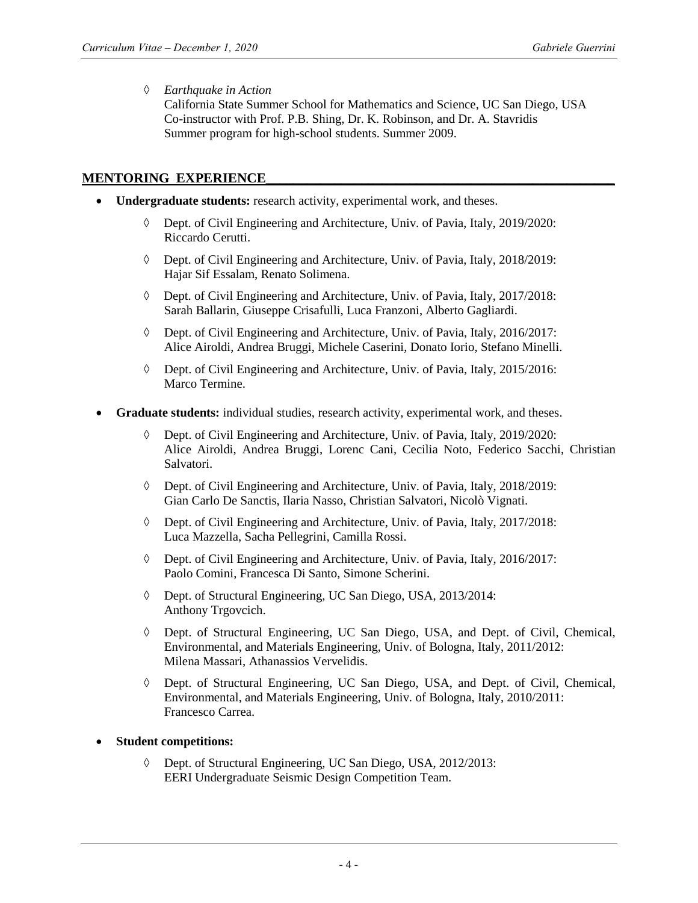#### *Earthquake in Action*

California State Summer School for Mathematics and Science, UC San Diego, USA Co-instructor with Prof. P.B. Shing, Dr. K. Robinson, and Dr. A. Stavridis Summer program for high-school students. Summer 2009.

### **MENTORING EXPERIENCE**

- **Undergraduate students:** research activity, experimental work, and theses.
	- $\Diamond$  Dept. of Civil Engineering and Architecture, Univ. of Pavia, Italy, 2019/2020: Riccardo Cerutti.
	- Dept. of Civil Engineering and Architecture, Univ. of Pavia, Italy, 2018/2019: Hajar Sif Essalam, Renato Solimena.
	- Dept. of Civil Engineering and Architecture, Univ. of Pavia, Italy, 2017/2018: Sarah Ballarin, Giuseppe Crisafulli, Luca Franzoni, Alberto Gagliardi.
	- Dept. of Civil Engineering and Architecture, Univ. of Pavia, Italy, 2016/2017: Alice Airoldi, Andrea Bruggi, Michele Caserini, Donato Iorio, Stefano Minelli.
	- Dept. of Civil Engineering and Architecture, Univ. of Pavia, Italy, 2015/2016: Marco Termine.
- **Graduate students:** individual studies, research activity, experimental work, and theses.
	- Dept. of Civil Engineering and Architecture, Univ. of Pavia, Italy, 2019/2020: Alice Airoldi, Andrea Bruggi, Lorenc Cani, Cecilia Noto, Federico Sacchi, Christian Salvatori.
	- Dept. of Civil Engineering and Architecture, Univ. of Pavia, Italy, 2018/2019: Gian Carlo De Sanctis, Ilaria Nasso, Christian Salvatori, Nicolò Vignati.
	- Dept. of Civil Engineering and Architecture, Univ. of Pavia, Italy, 2017/2018: Luca Mazzella, Sacha Pellegrini, Camilla Rossi.
	- Dept. of Civil Engineering and Architecture, Univ. of Pavia, Italy, 2016/2017: Paolo Comini, Francesca Di Santo, Simone Scherini.
	- Dept. of Structural Engineering, UC San Diego, USA, 2013/2014: Anthony Trgovcich.
	- Dept. of Structural Engineering, UC San Diego, USA, and Dept. of Civil, Chemical, Environmental, and Materials Engineering, Univ. of Bologna, Italy, 2011/2012: Milena Massari, Athanassios Vervelidis.
	- Dept. of Structural Engineering, UC San Diego, USA, and Dept. of Civil, Chemical, Environmental, and Materials Engineering, Univ. of Bologna, Italy, 2010/2011: Francesco Carrea.

### **Student competitions:**

 Dept. of Structural Engineering, UC San Diego, USA, 2012/2013: EERI Undergraduate Seismic Design Competition Team.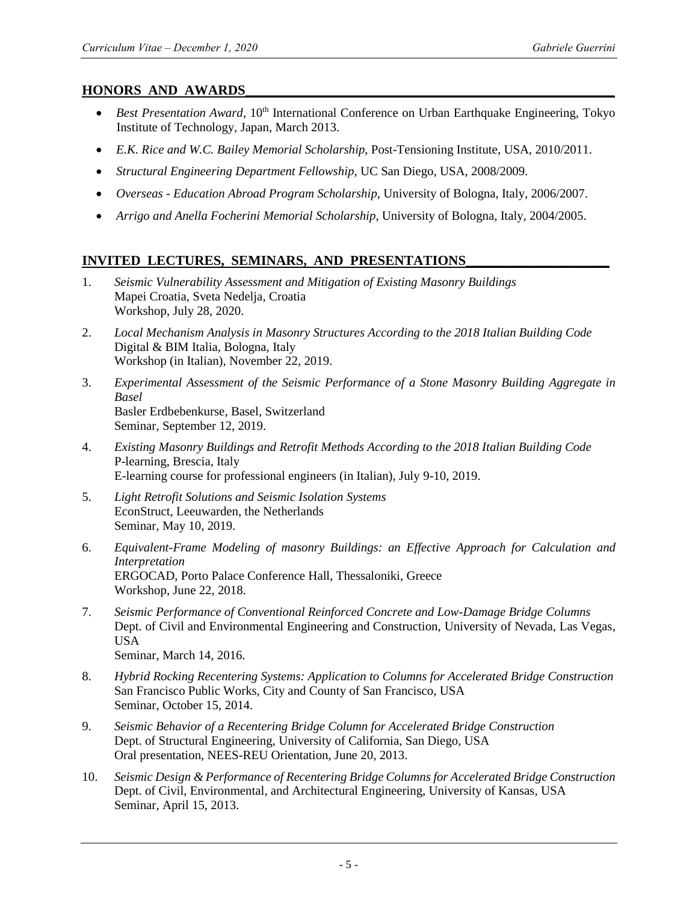## **HONORS AND AWARDS**

- *Best Presentation Award*, 10<sup>th</sup> International Conference on Urban Earthquake Engineering, Tokyo Institute of Technology, Japan, March 2013.
- *E.K. Rice and W.C. Bailey Memorial Scholarship*, Post-Tensioning Institute, USA, 2010/2011.
- *Structural Engineering Department Fellowship*, UC San Diego, USA, 2008/2009.
- *Overseas - Education Abroad Program Scholarship*, University of Bologna, Italy, 2006/2007.
- *Arrigo and Anella Focherini Memorial Scholarship*, University of Bologna, Italy, 2004/2005.

# **INVITED LECTURES, SEMINARS, AND PRESENTATIONS**

- 1. *Seismic Vulnerability Assessment and Mitigation of Existing Masonry Buildings* Mapei Croatia, Sveta Nedelja, Croatia Workshop, July 28, 2020.
- 2. *Local Mechanism Analysis in Masonry Structures According to the 2018 Italian Building Code* Digital & BIM Italia, Bologna, Italy Workshop (in Italian), November 22, 2019.
- 3. *Experimental Assessment of the Seismic Performance of a Stone Masonry Building Aggregate in Basel* Basler Erdbebenkurse, Basel, Switzerland Seminar, September 12, 2019.
- 4. *Existing Masonry Buildings and Retrofit Methods According to the 2018 Italian Building Code* P-learning, Brescia, Italy E-learning course for professional engineers (in Italian), July 9-10, 2019.
- 5. *Light Retrofit Solutions and Seismic Isolation Systems* EconStruct, Leeuwarden, the Netherlands Seminar, May 10, 2019.
- 6. *Equivalent-Frame Modeling of masonry Buildings: an Effective Approach for Calculation and Interpretation* ERGOCAD, Porto Palace Conference Hall, Thessaloniki, Greece Workshop, June 22, 2018.
- 7. *Seismic Performance of Conventional Reinforced Concrete and Low-Damage Bridge Columns* Dept. of Civil and Environmental Engineering and Construction, University of Nevada, Las Vegas, USA Seminar, March 14, 2016.
- 8. *Hybrid Rocking Recentering Systems: Application to Columns for Accelerated Bridge Construction* San Francisco Public Works, City and County of San Francisco, USA Seminar, October 15, 2014.
- 9. *Seismic Behavior of a Recentering Bridge Column for Accelerated Bridge Construction* Dept. of Structural Engineering, University of California, San Diego, USA Oral presentation, NEES-REU Orientation, June 20, 2013.
- 10. *Seismic Design & Performance of Recentering Bridge Columns for Accelerated Bridge Construction* Dept. of Civil, Environmental, and Architectural Engineering, University of Kansas, USA Seminar, April 15, 2013.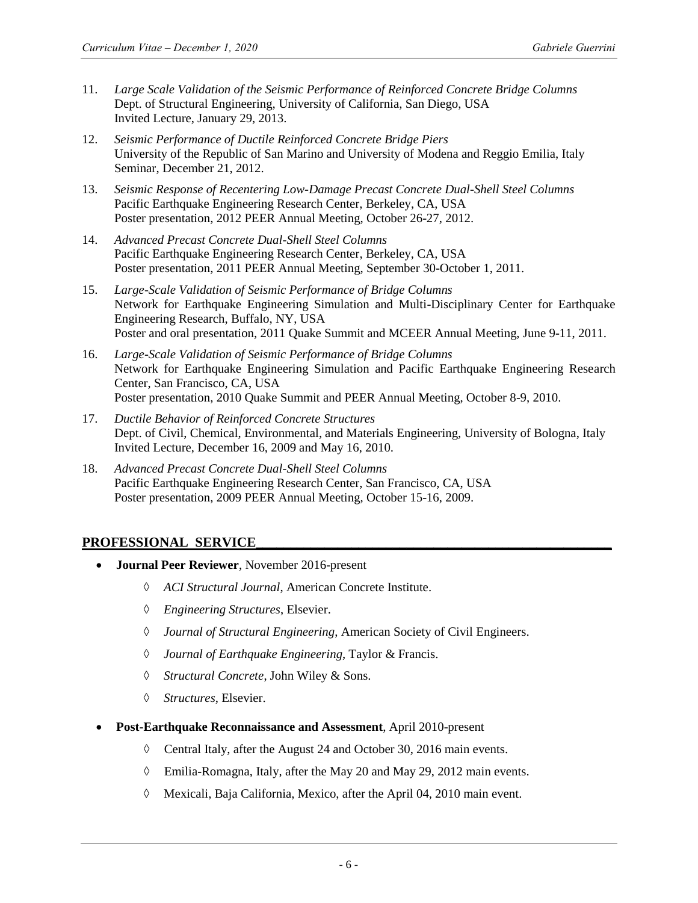- 11. *Large Scale Validation of the Seismic Performance of Reinforced Concrete Bridge Columns* Dept. of Structural Engineering, University of California, San Diego, USA Invited Lecture, January 29, 2013.
- 12. *Seismic Performance of Ductile Reinforced Concrete Bridge Piers* University of the Republic of San Marino and University of Modena and Reggio Emilia, Italy Seminar, December 21, 2012.
- 13. *Seismic Response of Recentering Low-Damage Precast Concrete Dual-Shell Steel Columns* Pacific Earthquake Engineering Research Center, Berkeley, CA, USA Poster presentation, 2012 PEER Annual Meeting, October 26-27, 2012.
- 14. *Advanced Precast Concrete Dual-Shell Steel Columns* Pacific Earthquake Engineering Research Center, Berkeley, CA, USA Poster presentation, 2011 PEER Annual Meeting, September 30-October 1, 2011.
- 15. *Large-Scale Validation of Seismic Performance of Bridge Columns* Network for Earthquake Engineering Simulation and Multi-Disciplinary Center for Earthquake Engineering Research, Buffalo, NY, USA Poster and oral presentation, 2011 Quake Summit and MCEER Annual Meeting, June 9-11, 2011.
- 16. *Large-Scale Validation of Seismic Performance of Bridge Columns* Network for Earthquake Engineering Simulation and Pacific Earthquake Engineering Research Center, San Francisco, CA, USA Poster presentation, 2010 Quake Summit and PEER Annual Meeting, October 8-9, 2010.
- 17. *Ductile Behavior of Reinforced Concrete Structures* Dept. of Civil, Chemical, Environmental, and Materials Engineering, University of Bologna, Italy Invited Lecture, December 16, 2009 and May 16, 2010.
- 18. *Advanced Precast Concrete Dual-Shell Steel Columns* Pacific Earthquake Engineering Research Center, San Francisco, CA, USA Poster presentation, 2009 PEER Annual Meeting, October 15-16, 2009.

# PROFESSIONAL SERVICE

- **Journal Peer Reviewer**, November 2016-present
	- *ACI Structural Journal*, American Concrete Institute.
	- *Engineering Structures*, Elsevier.
	- *Journal of Structural Engineering*, American Society of Civil Engineers.
	- *Journal of Earthquake Engineering*, Taylor & Francis.
	- *Structural Concrete*, John Wiley & Sons.
	- *Structures*, Elsevier.
- **Post-Earthquake Reconnaissance and Assessment**, April 2010-present
	- $\Diamond$  Central Italy, after the August 24 and October 30, 2016 main events.
	- Emilia-Romagna, Italy, after the May 20 and May 29, 2012 main events.
	- Mexicali, Baja California, Mexico, after the April 04, 2010 main event.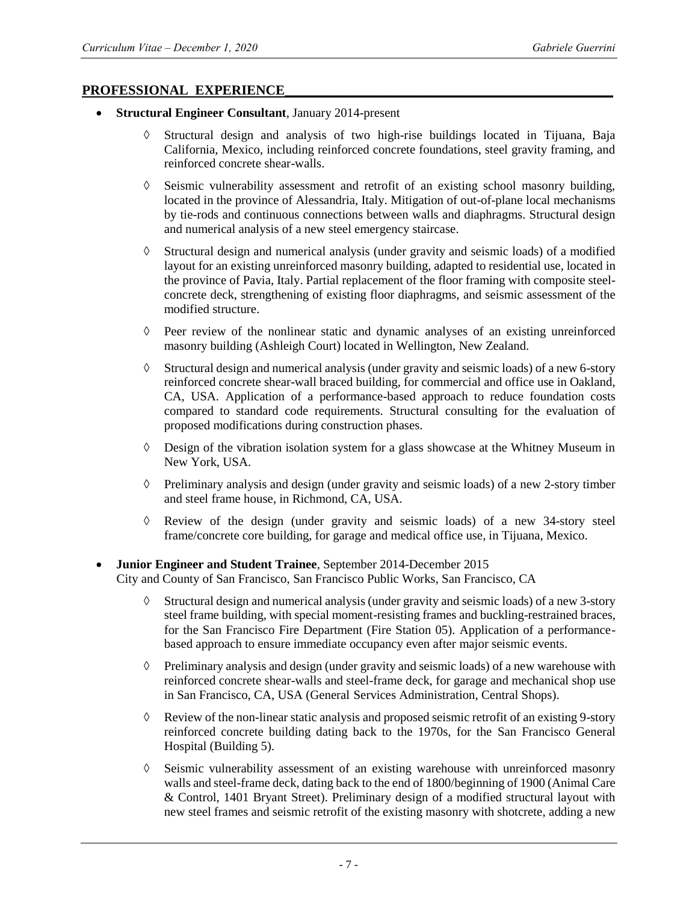### PROFESSIONAL EXPERIENCE

- **Structural Engineer Consultant**, January 2014-present
	- Structural design and analysis of two high-rise buildings located in Tijuana, Baja California, Mexico, including reinforced concrete foundations, steel gravity framing, and reinforced concrete shear-walls.
	- $\Diamond$  Seismic vulnerability assessment and retrofit of an existing school masonry building, located in the province of Alessandria, Italy. Mitigation of out-of-plane local mechanisms by tie-rods and continuous connections between walls and diaphragms. Structural design and numerical analysis of a new steel emergency staircase.
	- $\Diamond$  Structural design and numerical analysis (under gravity and seismic loads) of a modified layout for an existing unreinforced masonry building, adapted to residential use, located in the province of Pavia, Italy. Partial replacement of the floor framing with composite steelconcrete deck, strengthening of existing floor diaphragms, and seismic assessment of the modified structure.
	- $\Diamond$  Peer review of the nonlinear static and dynamic analyses of an existing unreinforced masonry building (Ashleigh Court) located in Wellington, New Zealand.
	- Structural design and numerical analysis (under gravity and seismic loads) of a new 6-story reinforced concrete shear-wall braced building, for commercial and office use in Oakland, CA, USA. Application of a performance-based approach to reduce foundation costs compared to standard code requirements. Structural consulting for the evaluation of proposed modifications during construction phases.
	- $\Diamond$  Design of the vibration isolation system for a glass showcase at the Whitney Museum in New York, USA.
	- $\Diamond$  Preliminary analysis and design (under gravity and seismic loads) of a new 2-story timber and steel frame house, in Richmond, CA, USA.
	- Review of the design (under gravity and seismic loads) of a new 34-story steel frame/concrete core building, for garage and medical office use, in Tijuana, Mexico.

# **Junior Engineer and Student Trainee**, September 2014-December 2015

City and County of San Francisco, San Francisco Public Works, San Francisco, CA

- $\Diamond$  Structural design and numerical analysis (under gravity and seismic loads) of a new 3-story steel frame building, with special moment-resisting frames and buckling-restrained braces, for the San Francisco Fire Department (Fire Station 05). Application of a performancebased approach to ensure immediate occupancy even after major seismic events.
- $\Diamond$  Preliminary analysis and design (under gravity and seismic loads) of a new warehouse with reinforced concrete shear-walls and steel-frame deck, for garage and mechanical shop use in San Francisco, CA, USA (General Services Administration, Central Shops).
- Review of the non-linear static analysis and proposed seismic retrofit of an existing 9-story reinforced concrete building dating back to the 1970s, for the San Francisco General Hospital (Building 5).
- $\Diamond$  Seismic vulnerability assessment of an existing warehouse with unreinforced masonry walls and steel-frame deck, dating back to the end of 1800/beginning of 1900 (Animal Care & Control, 1401 Bryant Street). Preliminary design of a modified structural layout with new steel frames and seismic retrofit of the existing masonry with shotcrete, adding a new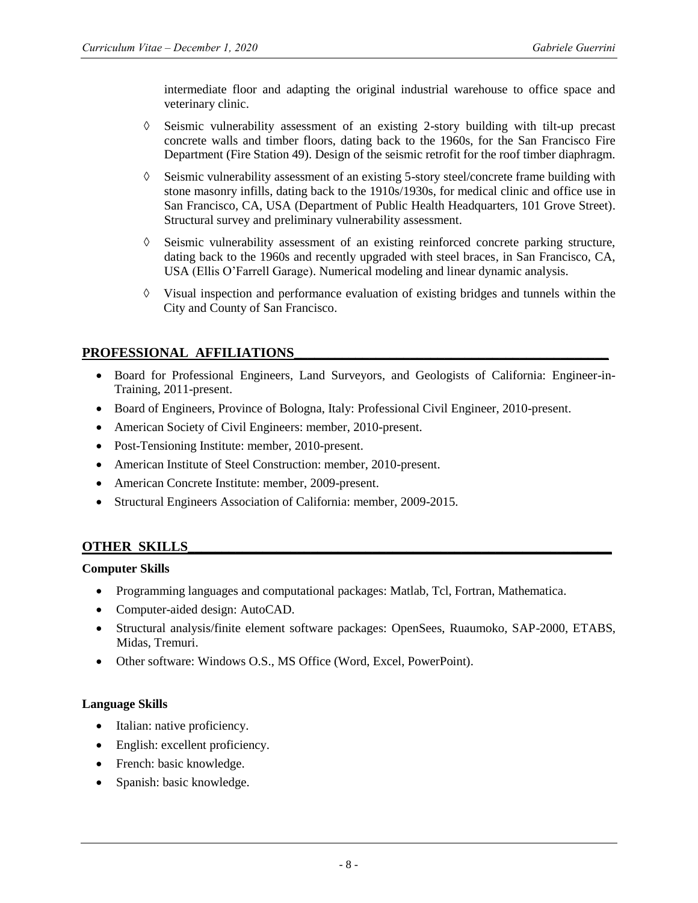intermediate floor and adapting the original industrial warehouse to office space and veterinary clinic.

- $\Diamond$  Seismic vulnerability assessment of an existing 2-story building with tilt-up precast concrete walls and timber floors, dating back to the 1960s, for the San Francisco Fire Department (Fire Station 49). Design of the seismic retrofit for the roof timber diaphragm.
- $\Diamond$  Seismic vulnerability assessment of an existing 5-story steel/concrete frame building with stone masonry infills, dating back to the 1910s/1930s, for medical clinic and office use in San Francisco, CA, USA (Department of Public Health Headquarters, 101 Grove Street). Structural survey and preliminary vulnerability assessment.
- $\Diamond$  Seismic vulnerability assessment of an existing reinforced concrete parking structure, dating back to the 1960s and recently upgraded with steel braces, in San Francisco, CA, USA (Ellis O'Farrell Garage). Numerical modeling and linear dynamic analysis.
- $\Diamond$  Visual inspection and performance evaluation of existing bridges and tunnels within the City and County of San Francisco.

# PROFESSIONAL AFFILIATIONS

- Board for Professional Engineers, Land Surveyors, and Geologists of California: Engineer-in-Training, 2011-present.
- Board of Engineers, Province of Bologna, Italy: Professional Civil Engineer, 2010-present.
- American Society of Civil Engineers: member, 2010-present.
- Post-Tensioning Institute: member, 2010-present.
- American Institute of Steel Construction: member, 2010-present.
- American Concrete Institute: member, 2009-present.
- Structural Engineers Association of California: member, 2009-2015.

# **OTHER SKILLS\_\_\_\_\_\_\_\_\_\_\_\_\_\_\_\_\_\_\_\_\_\_\_\_\_\_\_\_\_\_\_\_\_\_\_\_\_\_\_\_\_\_\_\_\_\_\_\_\_\_\_\_\_\_\_\_\_\_\_\_\_\_**

## **Computer Skills**

- Programming languages and computational packages: Matlab, Tcl, Fortran, Mathematica.
- Computer-aided design: AutoCAD.
- Structural analysis/finite element software packages: OpenSees, Ruaumoko, SAP-2000, ETABS, Midas, Tremuri.
- Other software: Windows O.S., MS Office (Word, Excel, PowerPoint).

### **Language Skills**

- Italian: native proficiency.
- English: excellent proficiency.
- French: basic knowledge.
- Spanish: basic knowledge.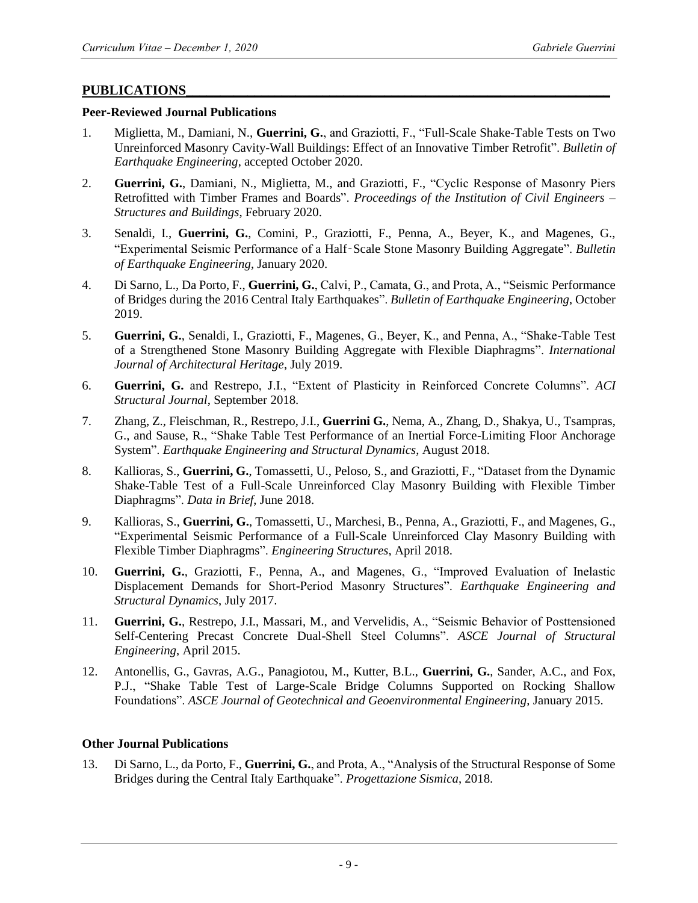## **PUBLICATIONS\_\_\_\_\_\_\_\_\_\_\_\_\_\_\_\_\_\_\_\_\_\_\_\_\_\_\_\_\_\_\_\_\_\_\_\_\_\_\_\_\_\_\_\_\_\_\_\_\_\_\_\_\_\_\_\_\_\_\_\_\_\_**

### **Peer-Reviewed Journal Publications**

- 1. Miglietta, M., Damiani, N., **Guerrini, G.**, and Graziotti, F., "Full-Scale Shake-Table Tests on Two Unreinforced Masonry Cavity-Wall Buildings: Effect of an Innovative Timber Retrofit". *Bulletin of Earthquake Engineering*, accepted October 2020.
- 2. **Guerrini, G.**, Damiani, N., Miglietta, M., and Graziotti, F., "Cyclic Response of Masonry Piers Retrofitted with Timber Frames and Boards". *Proceedings of the Institution of Civil Engineers – Structures and Buildings*, February 2020.
- 3. Senaldi, I., **Guerrini, G.**, Comini, P., Graziotti, F., Penna, A., Beyer, K., and Magenes, G., "Experimental Seismic Performance of a Half‑Scale Stone Masonry Building Aggregate". *Bulletin of Earthquake Engineering*, January 2020.
- 4. Di Sarno, L., Da Porto, F., **Guerrini, G.**, Calvi, P., Camata, G., and Prota, A., "Seismic Performance of Bridges during the 2016 Central Italy Earthquakes". *Bulletin of Earthquake Engineering*, October 2019.
- 5. **Guerrini, G.**, Senaldi, I., Graziotti, F., Magenes, G., Beyer, K., and Penna, A., "Shake-Table Test of a Strengthened Stone Masonry Building Aggregate with Flexible Diaphragms". *International Journal of Architectural Heritage*, July 2019.
- 6. **Guerrini, G.** and Restrepo, J.I., "Extent of Plasticity in Reinforced Concrete Columns". *ACI Structural Journal*, September 2018.
- 7. Zhang, Z., Fleischman, R., Restrepo, J.I., **Guerrini G.**, Nema, A., Zhang, D., Shakya, U., Tsampras, G., and Sause, R., "Shake Table Test Performance of an Inertial Force-Limiting Floor Anchorage System". *Earthquake Engineering and Structural Dynamics*, August 2018.
- 8. Kallioras, S., **Guerrini, G.**, Tomassetti, U., Peloso, S., and Graziotti, F., "Dataset from the Dynamic Shake-Table Test of a Full-Scale Unreinforced Clay Masonry Building with Flexible Timber Diaphragms". *Data in Brief*, June 2018.
- 9. Kallioras, S., **Guerrini, G.**, Tomassetti, U., Marchesi, B., Penna, A., Graziotti, F., and Magenes, G., "Experimental Seismic Performance of a Full-Scale Unreinforced Clay Masonry Building with Flexible Timber Diaphragms". *Engineering Structures*, April 2018.
- 10. **Guerrini, G.**, Graziotti, F., Penna, A., and Magenes, G., "Improved Evaluation of Inelastic Displacement Demands for Short-Period Masonry Structures". *Earthquake Engineering and Structural Dynamics*, July 2017.
- 11. **Guerrini, G.**, Restrepo, J.I., Massari, M., and Vervelidis, A., "Seismic Behavior of Posttensioned Self-Centering Precast Concrete Dual-Shell Steel Columns". *ASCE Journal of Structural Engineering*, April 2015.
- 12. Antonellis, G., Gavras, A.G., Panagiotou, M., Kutter, B.L., **Guerrini, G.**, Sander, A.C., and Fox, P.J., "Shake Table Test of Large-Scale Bridge Columns Supported on Rocking Shallow Foundations". *ASCE Journal of Geotechnical and Geoenvironmental Engineering*, January 2015.

## **Other Journal Publications**

13. Di Sarno, L., da Porto, F., **Guerrini, G.**, and Prota, A., "Analysis of the Structural Response of Some Bridges during the Central Italy Earthquake". *Progettazione Sismica*, 2018.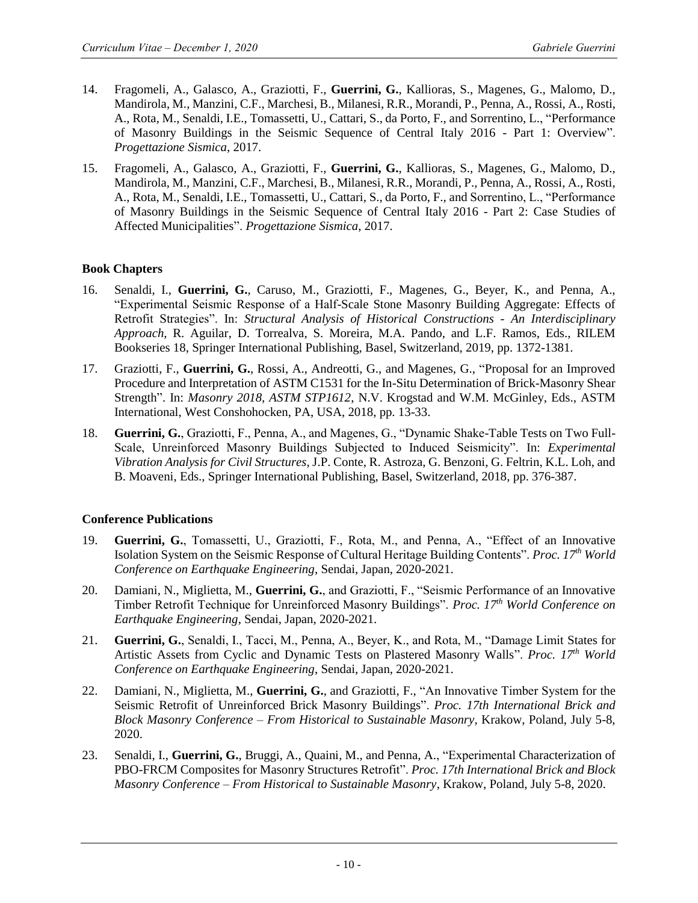- 14. Fragomeli, A., Galasco, A., Graziotti, F., **Guerrini, G.**, Kallioras, S., Magenes, G., Malomo, D., Mandirola, M., Manzini, C.F., Marchesi, B., Milanesi, R.R., Morandi, P., Penna, A., Rossi, A., Rosti, A., Rota, M., Senaldi, I.E., Tomassetti, U., Cattari, S., da Porto, F., and Sorrentino, L., "Performance of Masonry Buildings in the Seismic Sequence of Central Italy 2016 - Part 1: Overview". *Progettazione Sismica*, 2017.
- 15. Fragomeli, A., Galasco, A., Graziotti, F., **Guerrini, G.**, Kallioras, S., Magenes, G., Malomo, D., Mandirola, M., Manzini, C.F., Marchesi, B., Milanesi, R.R., Morandi, P., Penna, A., Rossi, A., Rosti, A., Rota, M., Senaldi, I.E., Tomassetti, U., Cattari, S., da Porto, F., and Sorrentino, L., "Performance of Masonry Buildings in the Seismic Sequence of Central Italy 2016 - Part 2: Case Studies of Affected Municipalities". *Progettazione Sismica*, 2017.

## **Book Chapters**

- 16. Senaldi, I., **Guerrini, G.**, Caruso, M., Graziotti, F., Magenes, G., Beyer, K., and Penna, A., "Experimental Seismic Response of a Half-Scale Stone Masonry Building Aggregate: Effects of Retrofit Strategies". In: *Structural Analysis of Historical Constructions - An Interdisciplinary Approach*, R. Aguilar, D. Torrealva, S. Moreira, M.A. Pando, and L.F. Ramos, Eds., RILEM Bookseries 18, Springer International Publishing, Basel, Switzerland, 2019, pp. 1372-1381.
- 17. Graziotti, F., **Guerrini, G.**, Rossi, A., Andreotti, G., and Magenes, G., "Proposal for an Improved Procedure and Interpretation of ASTM C1531 for the In-Situ Determination of Brick-Masonry Shear Strength". In: *Masonry 2018, ASTM STP1612*, N.V. Krogstad and W.M. McGinley, Eds., ASTM International, West Conshohocken, PA, USA, 2018, pp. 13-33.
- 18. **Guerrini, G.**, Graziotti, F., Penna, A., and Magenes, G., "Dynamic Shake-Table Tests on Two Full-Scale, Unreinforced Masonry Buildings Subjected to Induced Seismicity". In: *Experimental Vibration Analysis for Civil Structures*, J.P. Conte, R. Astroza, G. Benzoni, G. Feltrin, K.L. Loh, and B. Moaveni, Eds., Springer International Publishing, Basel, Switzerland, 2018, pp. 376-387.

## **Conference Publications**

- 19. **Guerrini, G.**, Tomassetti, U., Graziotti, F., Rota, M., and Penna, A., "Effect of an Innovative Isolation System on the Seismic Response of Cultural Heritage Building Contents". *Proc. 17th World Conference on Earthquake Engineering*, Sendai, Japan, 2020-2021.
- 20. Damiani, N., Miglietta, M., **Guerrini, G.**, and Graziotti, F., "Seismic Performance of an Innovative Timber Retrofit Technique for Unreinforced Masonry Buildings". *Proc. 17th World Conference on Earthquake Engineering*, Sendai, Japan, 2020-2021.
- 21. **Guerrini, G.**, Senaldi, I., Tacci, M., Penna, A., Beyer, K., and Rota, M., "Damage Limit States for Artistic Assets from Cyclic and Dynamic Tests on Plastered Masonry Walls". *Proc. 17th World Conference on Earthquake Engineering*, Sendai, Japan, 2020-2021.
- 22. Damiani, N., Miglietta, M., **Guerrini, G.**, and Graziotti, F., "An Innovative Timber System for the Seismic Retrofit of Unreinforced Brick Masonry Buildings". *Proc. 17th International Brick and Block Masonry Conference – From Historical to Sustainable Masonry*, Krakow, Poland, July 5-8, 2020.
- 23. Senaldi, I., **Guerrini, G.**, Bruggi, A., Quaini, M., and Penna, A., "Experimental Characterization of PBO-FRCM Composites for Masonry Structures Retrofit". *Proc. 17th International Brick and Block Masonry Conference – From Historical to Sustainable Masonry*, Krakow, Poland, July 5-8, 2020.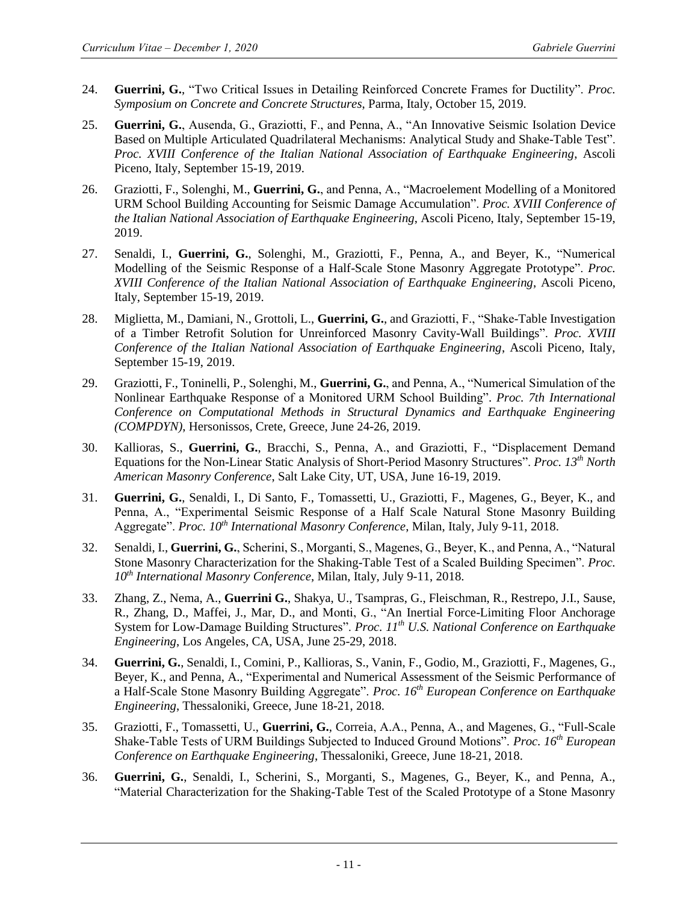- 24. **Guerrini, G.**, "Two Critical Issues in Detailing Reinforced Concrete Frames for Ductility". *Proc. Symposium on Concrete and Concrete Structures*, Parma, Italy, October 15, 2019.
- 25. **Guerrini, G.**, Ausenda, G., Graziotti, F., and Penna, A., "An Innovative Seismic Isolation Device Based on Multiple Articulated Quadrilateral Mechanisms: Analytical Study and Shake-Table Test". *Proc. XVIII Conference of the Italian National Association of Earthquake Engineering*, Ascoli Piceno, Italy, September 15-19, 2019.
- 26. Graziotti, F., Solenghi, M., **Guerrini, G.**, and Penna, A., "Macroelement Modelling of a Monitored URM School Building Accounting for Seismic Damage Accumulation". *Proc. XVIII Conference of the Italian National Association of Earthquake Engineering*, Ascoli Piceno, Italy, September 15-19, 2019.
- 27. Senaldi, I., **Guerrini, G.**, Solenghi, M., Graziotti, F., Penna, A., and Beyer, K., "Numerical Modelling of the Seismic Response of a Half-Scale Stone Masonry Aggregate Prototype". *Proc. XVIII Conference of the Italian National Association of Earthquake Engineering*, Ascoli Piceno, Italy, September 15-19, 2019.
- 28. Miglietta, M., Damiani, N., Grottoli, L., **Guerrini, G.**, and Graziotti, F., "Shake-Table Investigation of a Timber Retrofit Solution for Unreinforced Masonry Cavity-Wall Buildings". *Proc. XVIII Conference of the Italian National Association of Earthquake Engineering*, Ascoli Piceno, Italy, September 15-19, 2019.
- 29. Graziotti, F., Toninelli, P., Solenghi, M., **Guerrini, G.**, and Penna, A., "Numerical Simulation of the Nonlinear Earthquake Response of a Monitored URM School Building". *Proc. 7th International Conference on Computational Methods in Structural Dynamics and Earthquake Engineering (COMPDYN)*, Hersonissos, Crete, Greece, June 24-26, 2019.
- 30. Kallioras, S., **Guerrini, G.**, Bracchi, S., Penna, A., and Graziotti, F., "Displacement Demand Equations for the Non-Linear Static Analysis of Short-Period Masonry Structures". *Proc. 13th North American Masonry Conference*, Salt Lake City, UT, USA, June 16-19, 2019.
- 31. **Guerrini, G.**, Senaldi, I., Di Santo, F., Tomassetti, U., Graziotti, F., Magenes, G., Beyer, K., and Penna, A., "Experimental Seismic Response of a Half Scale Natural Stone Masonry Building Aggregate". *Proc. 10th International Masonry Conference*, Milan, Italy, July 9-11, 2018.
- 32. Senaldi, I., **Guerrini, G.**, Scherini, S., Morganti, S., Magenes, G., Beyer, K., and Penna, A., "Natural Stone Masonry Characterization for the Shaking-Table Test of a Scaled Building Specimen". *Proc. 10th International Masonry Conference*, Milan, Italy, July 9-11, 2018.
- 33. Zhang, Z., Nema, A., **Guerrini G.**, Shakya, U., Tsampras, G., Fleischman, R., Restrepo, J.I., Sause, R., Zhang, D., Maffei, J., Mar, D., and Monti, G., "An Inertial Force-Limiting Floor Anchorage System for Low-Damage Building Structures". *Proc. 11th U.S. National Conference on Earthquake Engineering*, Los Angeles, CA, USA, June 25-29, 2018.
- 34. **Guerrini, G.**, Senaldi, I., Comini, P., Kallioras, S., Vanin, F., Godio, M., Graziotti, F., Magenes, G., Beyer, K., and Penna, A., "Experimental and Numerical Assessment of the Seismic Performance of a Half-Scale Stone Masonry Building Aggregate". *Proc. 16th European Conference on Earthquake Engineering*, Thessaloniki, Greece, June 18-21, 2018.
- 35. Graziotti, F., Tomassetti, U., **Guerrini, G.**, Correia, A.A., Penna, A., and Magenes, G., "Full-Scale Shake-Table Tests of URM Buildings Subjected to Induced Ground Motions". *Proc. 16th European Conference on Earthquake Engineering*, Thessaloniki, Greece, June 18-21, 2018.
- 36. **Guerrini, G.**, Senaldi, I., Scherini, S., Morganti, S., Magenes, G., Beyer, K., and Penna, A., "Material Characterization for the Shaking-Table Test of the Scaled Prototype of a Stone Masonry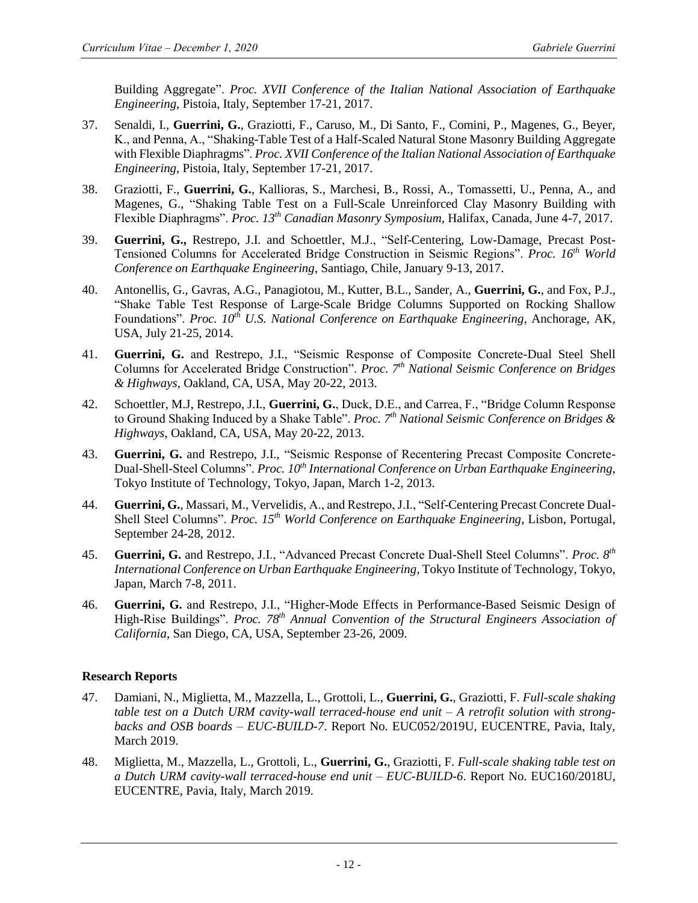Building Aggregate". *Proc. XVII Conference of the Italian National Association of Earthquake Engineering*, Pistoia, Italy, September 17-21, 2017.

- 37. Senaldi, I., **Guerrini, G.**, Graziotti, F., Caruso, M., Di Santo, F., Comini, P., Magenes, G., Beyer, K., and Penna, A., "Shaking-Table Test of a Half-Scaled Natural Stone Masonry Building Aggregate with Flexible Diaphragms". *Proc. XVII Conference of the Italian National Association of Earthquake Engineering*, Pistoia, Italy, September 17-21, 2017.
- 38. Graziotti, F., **Guerrini, G.**, Kallioras, S., Marchesi, B., Rossi, A., Tomassetti, U., Penna, A., and Magenes, G., "Shaking Table Test on a Full-Scale Unreinforced Clay Masonry Building with Flexible Diaphragms". *Proc. 13th Canadian Masonry Symposium*, Halifax, Canada, June 4-7, 2017.
- 39. **Guerrini, G.,** Restrepo, J.I. and Schoettler, M.J., "Self-Centering, Low-Damage, Precast Post-Tensioned Columns for Accelerated Bridge Construction in Seismic Regions". *Proc. 16th World Conference on Earthquake Engineering*, Santiago, Chile, January 9-13, 2017.
- 40. Antonellis, G., Gavras, A.G., Panagiotou, M., Kutter, B.L., Sander, A., **Guerrini, G.**, and Fox, P.J., "Shake Table Test Response of Large-Scale Bridge Columns Supported on Rocking Shallow Foundations". *Proc. 10th U.S. National Conference on Earthquake Engineering*, Anchorage, AK, USA, July 21-25, 2014.
- 41. **Guerrini, G.** and Restrepo, J.I., "Seismic Response of Composite Concrete-Dual Steel Shell Columns for Accelerated Bridge Construction". *Proc. 7th National Seismic Conference on Bridges & Highways*, Oakland, CA, USA, May 20-22, 2013.
- 42. Schoettler, M.J, Restrepo, J.I., **Guerrini, G.**, Duck, D.E., and Carrea, F., "Bridge Column Response to Ground Shaking Induced by a Shake Table". *Proc. 7th National Seismic Conference on Bridges & Highways*, Oakland, CA, USA, May 20-22, 2013.
- 43. **Guerrini, G.** and Restrepo, J.I., "Seismic Response of Recentering Precast Composite Concrete-Dual-Shell-Steel Columns". *Proc. 10th International Conference on Urban Earthquake Engineering*, Tokyo Institute of Technology, Tokyo, Japan, March 1-2, 2013.
- 44. **Guerrini, G.**, Massari, M., Vervelidis, A., and Restrepo, J.I., "Self-Centering Precast Concrete Dual-Shell Steel Columns". *Proc. 15th World Conference on Earthquake Engineering*, Lisbon, Portugal, September 24-28, 2012.
- 45. **Guerrini, G.** and Restrepo, J.I., "Advanced Precast Concrete Dual-Shell Steel Columns". *Proc. 8th International Conference on Urban Earthquake Engineering*, Tokyo Institute of Technology, Tokyo, Japan, March 7-8, 2011.
- 46. **Guerrini, G.** and Restrepo, J.I., "Higher-Mode Effects in Performance-Based Seismic Design of High-Rise Buildings". *Proc. 78th Annual Convention of the Structural Engineers Association of California*, San Diego, CA, USA, September 23-26, 2009.

## **Research Reports**

- 47. Damiani, N., Miglietta, M., Mazzella, L., Grottoli, L., **Guerrini, G.**, Graziotti, F. *Full-scale shaking table test on a Dutch URM cavity-wall terraced-house end unit – A retrofit solution with strongbacks and OSB boards – EUC-BUILD-7*. Report No. EUC052/2019U, EUCENTRE, Pavia, Italy, March 2019.
- 48. Miglietta, M., Mazzella, L., Grottoli, L., **Guerrini, G.**, Graziotti, F. *Full-scale shaking table test on a Dutch URM cavity-wall terraced-house end unit – EUC-BUILD-6*. Report No. EUC160/2018U, EUCENTRE, Pavia, Italy, March 2019.